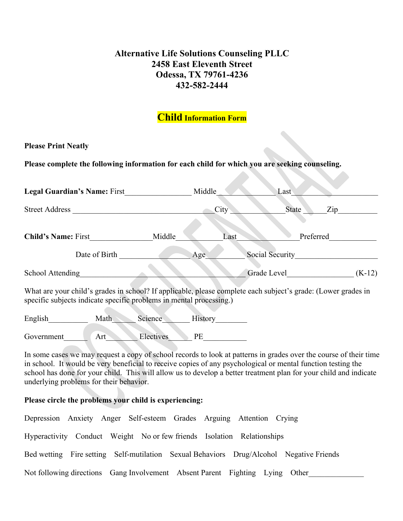### **Alternative Life Solutions Counseling PLLC 2458 East Eleventh Street Odessa, TX 79761-4236 432-582-2444**

## **Child Information Form**

#### **Please Print Neatly**

**Please complete the following information for each child for which you are seeking counseling.**

| <b>Legal Guardian's Name: First</b><br><b>Street Address</b>              |                 | Middle |                                                                                                                                                                                                                                                                                               | Last                                      |          |
|---------------------------------------------------------------------------|-----------------|--------|-----------------------------------------------------------------------------------------------------------------------------------------------------------------------------------------------------------------------------------------------------------------------------------------------|-------------------------------------------|----------|
|                                                                           |                 | City   |                                                                                                                                                                                                                                                                                               | State<br>$\mathop{\mathrm{Zip}}\nolimits$ |          |
| <b>Child's Name: First</b>                                                | Middle          | Last   |                                                                                                                                                                                                                                                                                               | Preferred                                 |          |
| Date of Birth                                                             | Age.            |        | Social Security                                                                                                                                                                                                                                                                               |                                           |          |
| School Attending                                                          |                 |        | Grade Level                                                                                                                                                                                                                                                                                   |                                           | $(K-12)$ |
| $\mathbf{X} \mathbf{X}$ $\mathbf{Y}$ $\mathbf{1}$<br>$1.11111$ $1.111111$ | 10Tc<br>$-1.11$ |        | $\sim$ 1 $\sim$ 1 $\sim$ 1 $\sim$ 1 $\sim$ 1 $\sim$ 1 $\sim$ 1 $\sim$ 1 $\sim$ 1 $\sim$ 1 $\sim$ 1 $\sim$ 1 $\sim$ 1 $\sim$ 1 $\sim$ 1 $\sim$ 1 $\sim$ 1 $\sim$ 1 $\sim$ 1 $\sim$ 1 $\sim$ 1 $\sim$ 1 $\sim$ 1 $\sim$ 1 $\sim$ 1 $\sim$ 1 $\sim$ 1 $\sim$ 1 $\sim$ 1 $\sim$ 1 $\sim$ 1 $\sim$ |                                           |          |

What are your child's grades in school? If applicable, please complete each subject's grade: (Lower grades in specific subjects indicate specific problems in mental processing.)

| English    | Math | Science <b>Science</b> | History |  |
|------------|------|------------------------|---------|--|
|            |      |                        |         |  |
| Government | A rt | Electives              | РF      |  |

In some cases we may request a copy of school records to look at patterns in grades over the course of their time in school. It would be very beneficial to receive copies of any psychological or mental function testing the school has done for your child. This will allow us to develop a better treatment plan for your child and indicate underlying problems for their behavior.

#### **Please circle the problems your child is experiencing:**

| Depression Anxiety Anger Self-esteem Grades Arguing Attention Crying         |  |  |  |                                                                                         |
|------------------------------------------------------------------------------|--|--|--|-----------------------------------------------------------------------------------------|
| Hyperactivity Conduct Weight No or few friends Isolation Relationships       |  |  |  |                                                                                         |
|                                                                              |  |  |  | Bed wetting Fire setting Self-mutilation Sexual Behaviors Drug/Alcohol Negative Friends |
| Not following directions Gang Involvement Absent Parent Fighting Lying Other |  |  |  |                                                                                         |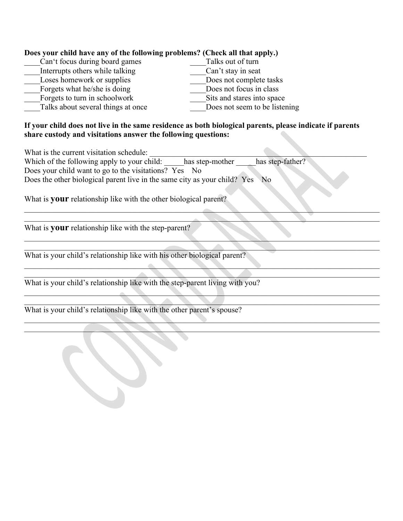| Does your child have any of the following problems? (Check all that apply.)                                                                                               |
|---------------------------------------------------------------------------------------------------------------------------------------------------------------------------|
| Talks out of turn<br>Can't focus during board games                                                                                                                       |
| Interrupts others while talking<br>Can't stay in seat<br>Loses homework or supplies<br>Does not complete tasks                                                            |
| Does not focus in class<br>Forgets what he/she is doing                                                                                                                   |
| Forgets to turn in schoolwork<br>Sits and stares into space                                                                                                               |
| Talks about several things at once<br>Does not seem to be listening                                                                                                       |
|                                                                                                                                                                           |
| If your child does not live in the same residence as both biological parents, please indicate if parents<br>share custody and visitations answer the following questions: |
| What is the current visitation schedule:                                                                                                                                  |
| Which of the following apply to your child: has step-mother<br>has step-father?                                                                                           |
| Does your child want to go to the visitations? Yes No                                                                                                                     |
| Does the other biological parent live in the same city as your child? Yes<br>N <sub>o</sub>                                                                               |
|                                                                                                                                                                           |
| What is <b>your</b> relationship like with the other biological parent?                                                                                                   |
| What is <b>your</b> relationship like with the step-parent?                                                                                                               |
|                                                                                                                                                                           |
| What is your child's relationship like with his other biological parent?                                                                                                  |
| What is your child's relationship like with the step-parent living with you?                                                                                              |
|                                                                                                                                                                           |
|                                                                                                                                                                           |
| What is your child's relationship like with the other parent's spouse?                                                                                                    |
|                                                                                                                                                                           |
|                                                                                                                                                                           |
|                                                                                                                                                                           |